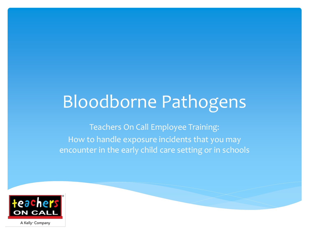# Bloodborne Pathogens

Teachers On Call Employee Training: How to handle exposure incidents that you may encounter in the early child care setting or in schools



A Kelly<sup>®</sup> Company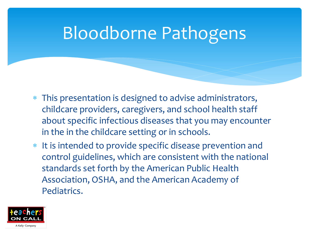## Bloodborne Pathogens

- This presentation is designed to advise administrators, childcare providers, caregivers, and school health staff about specific infectious diseases that you may encounter in the in the childcare setting or in schools.
- It is intended to provide specific disease prevention and control guidelines, which are consistent with the national standards set forth by the American Public Health Association, OSHA, and the American Academy of Pediatrics.

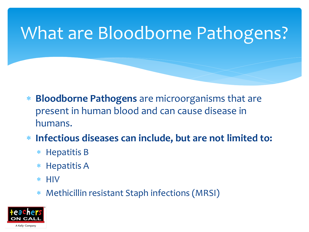# What are Bloodborne Pathogens?

- **Bloodborne Pathogens** are microorganisms that are present in human blood and can cause disease in humans.
- **Infectious diseases can include, but are not limited to:**
	- \* Hepatitis B
	- \* Hepatitis A
	- $*$  HIV
	- Methicillin resistant Staph infections (MRSI)

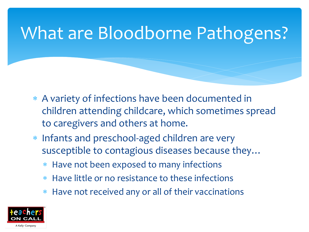## What are Bloodborne Pathogens?

- A variety of infections have been documented in children attending childcare, which sometimes spread to caregivers and others at home.
- Infants and preschool-aged children are very susceptible to contagious diseases because they…
	- Have not been exposed to many infections
	- Have little or no resistance to these infections
	- Have not received any or all of their vaccinations

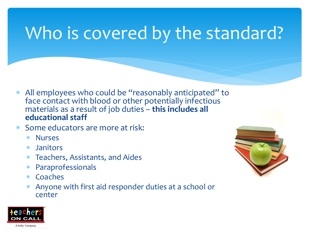# Who is covered by the standard?

- All employees who could be "reasonably anticipated" to face contact with blood or other potentially infectious materials as a result of job duties – **this includes all educational staff**
- Some educators are more at risk:
	- Nurses
	- Janitors
	- Teachers, Assistants, and Aides
	- Paraprofessionals
	- Coaches
	- Anyone with first aid responder duties at a school or center



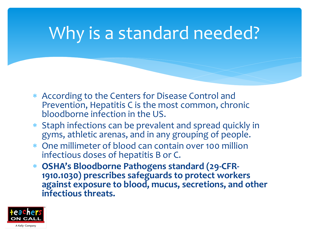## Why is a standard needed?

- According to the Centers for Disease Control and Prevention, Hepatitis C is the most common, chronic bloodborne infection in the US.
- Staph infections can be prevalent and spread quickly in gyms, athletic arenas, and in any grouping of people.
- One millimeter of blood can contain over 100 million infectious doses of hepatitis B or C.
- **OSHA's Bloodborne Pathogens standard (29-CFR-1910.1030) prescribes safeguards to protect workers against exposure to blood, mucus, secretions, and other infectious threats.**

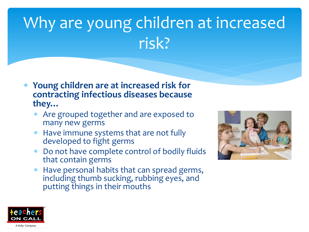# Why are young children at increased risk?

- **Young children are at increased risk for contracting infectious diseases because they…**
	- Are grouped together and are exposed to many new germs
	- Have immune systems that are not fully developed to fight germs
	- Do not have complete control of bodily fluids that contain germs
	- Have personal habits that can spread germs, including thumb sucking, rubbing eyes, and putting things in their mouths



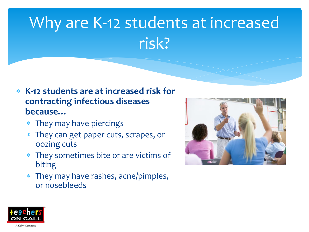# Why are K-12 students at increased risk?

- **K-12 students are at increased risk for contracting infectious diseases because…**
	- They may have piercings
	- They can get paper cuts, scrapes, or oozing cuts
	- They sometimes bite or are victims of biting
	- They may have rashes, acne/pimples, or nosebleeds



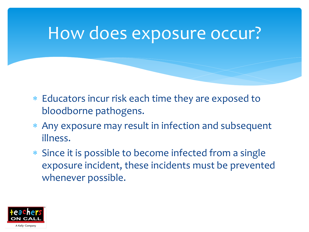### How does exposure occur?

- Educators incur risk each time they are exposed to bloodborne pathogens.
- Any exposure may result in infection and subsequent illness.
- Since it is possible to become infected from a single exposure incident, these incidents must be prevented whenever possible.

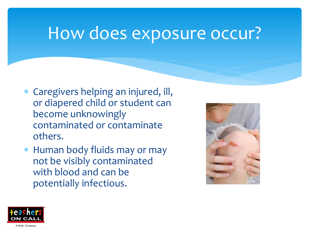#### How does exposure occur?

- Caregivers helping an injured, ill, or diapered child or student can become unknowingly contaminated or contaminate others.
- Human body fluids may or may not be visibly contaminated with blood and can be potentially infectious.



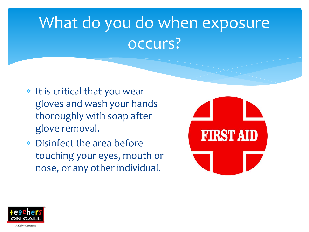## What do you do when exposure occurs?

- $*$  It is critical that you wear gloves and wash your hands thoroughly with soap after glove removal.
- Disinfect the area before touching your eyes, mouth or nose, or any other individual.



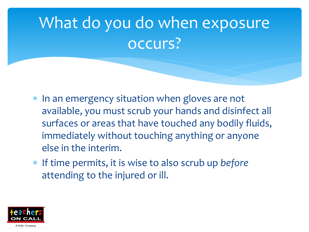## What do you do when exposure occurs?

- \* In an emergency situation when gloves are not available, you must scrub your hands and disinfect all surfaces or areas that have touched any bodily fluids, immediately without touching anything or anyone else in the interim.
- If time permits, it is wise to also scrub up *before* attending to the injured or ill.

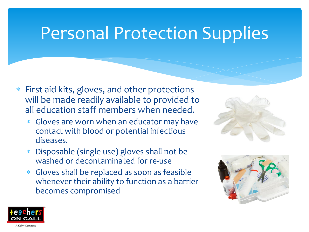## Personal Protection Supplies

- First aid kits, gloves, and other protections will be made readily available to provided to all education staff members when needed.
	- Gloves are worn when an educator may have contact with blood or potential infectious diseases.
	- Disposable (single use) gloves shall not be washed or decontaminated for re-use
	- Gloves shall be replaced as soon as feasible whenever their ability to function as a barrier becomes compromised





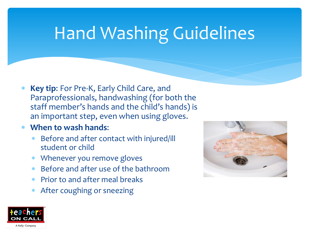# Hand Washing Guidelines

- **Key tip**: For Pre-K, Early Child Care, and Paraprofessionals, handwashing (for both the staff member's hands and the child's hands) is an important step, even when using gloves.
- **When to wash hands**:
	- Before and after contact with injured/ill student or child
	- Whenever you remove gloves
	- Before and after use of the bathroom
	- Prior to and after meal breaks
	- After coughing or sneezing



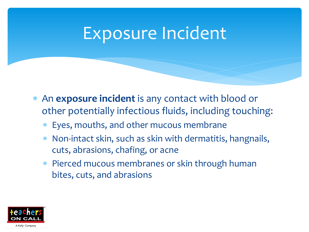#### Exposure Incident

- An **exposure incident** is any contact with blood or other potentially infectious fluids, including touching:
	- Eyes, mouths, and other mucous membrane
	- Non-intact skin, such as skin with dermatitis, hangnails, cuts, abrasions, chafing, or acne
	- \* Pierced mucous membranes or skin through human bites, cuts, and abrasions

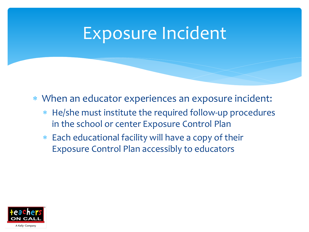#### Exposure Incident

- When an educator experiences an exposure incident:
	- He/she must institute the required follow-up procedures in the school or center Exposure Control Plan
	- Each educational facility will have a copy of their Exposure Control Plan accessibly to educators

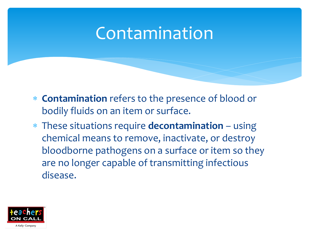#### Contamination

- **Contamination** refers to the presence of blood or bodily fluids on an item or surface.
- These situations require **decontamination** using chemical means to remove, inactivate, or destroy bloodborne pathogens on a surface or item so they are no longer capable of transmitting infectious disease.

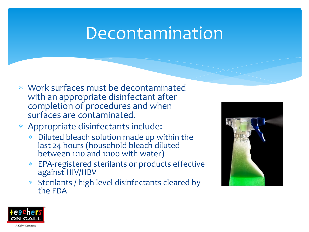#### Decontamination

- Work surfaces must be decontaminated with an appropriate disinfectant after completion of procedures and when surfaces are contaminated.
- Appropriate disinfectants include:
	- \* Diluted bleach solution made up within the last 24 hours (household bleach diluted between 1:10 and 1:100 with water)
	- EPA-registered sterilants or products effective against HIV/HBV
	- Sterilants / high level disinfectants cleared by the FDA



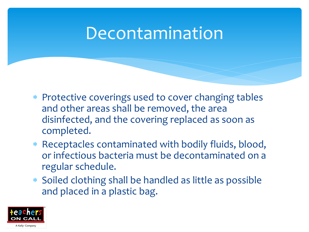#### Decontamination

- \* Protective coverings used to cover changing tables and other areas shall be removed, the area disinfected, and the covering replaced as soon as completed.
- Receptacles contaminated with bodily fluids, blood, or infectious bacteria must be decontaminated on a regular schedule.
- Soiled clothing shall be handled as little as possible and placed in a plastic bag.